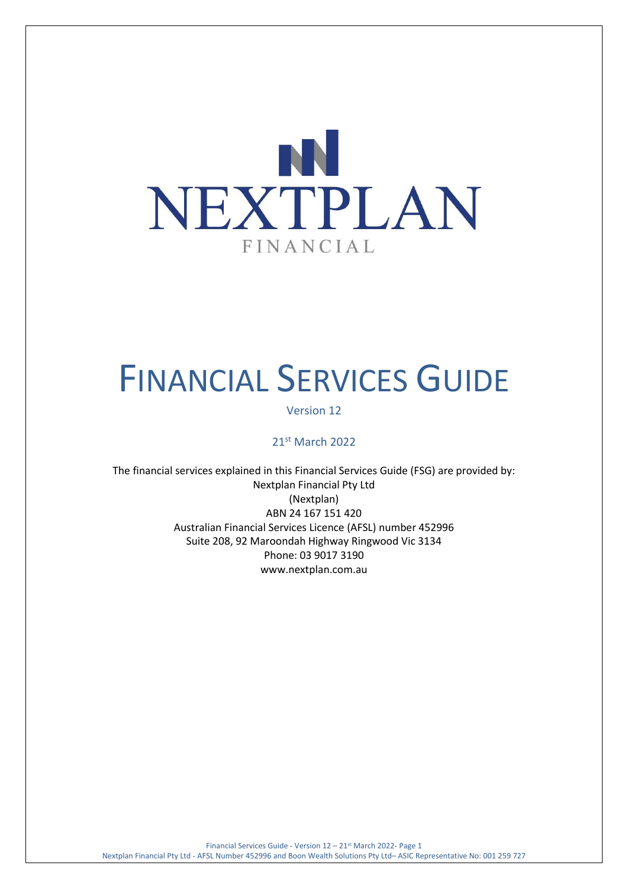

# FINANCIAL SERVICES GUIDE

Version 12

21st March 2022

The financial services explained in this Financial Services Guide (FSG) are provided by: Nextplan Financial Pty Ltd (Nextplan) ABN 24 167 151 420 Australian Financial Services Licence (AFSL) number 452996 Suite 208, 92 Maroondah Highway Ringwood Vic 3134 Phone: 03 9017 3190 [www.nextplan.com.au](http://www.nextplan.com.au/)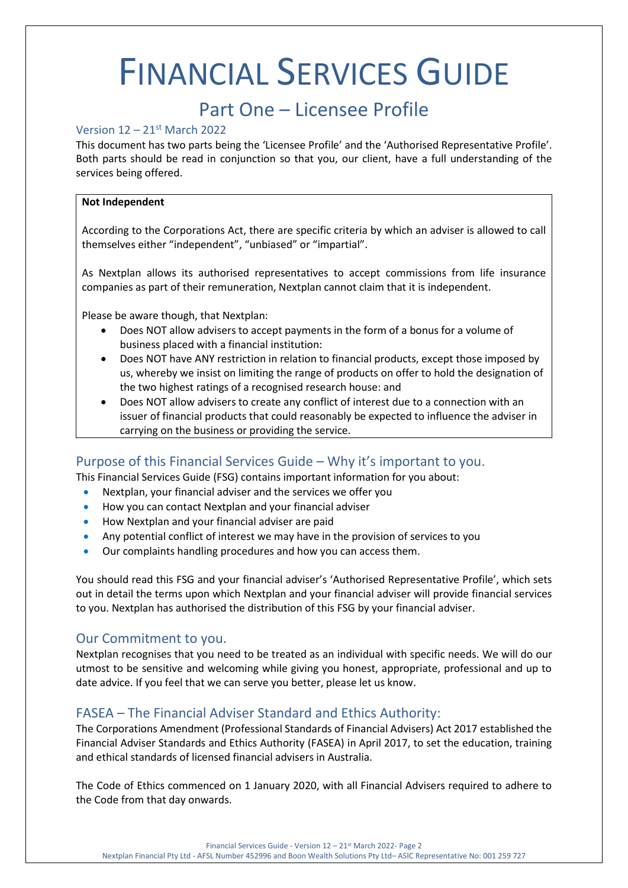# FINANCIAL SERVICES GUIDE

# Part One – Licensee Profile

#### Version 12 – 21st March 2022

This document has two parts being the 'Licensee Profile' and the 'Authorised Representative Profile'. Both parts should be read in conjunction so that you, our client, have a full understanding of the services being offered.

#### **Not Independent**

According to the Corporations Act, there are specific criteria by which an adviser is allowed to call themselves either "independent", "unbiased" or "impartial".

As Nextplan allows its authorised representatives to accept commissions from life insurance companies as part of their remuneration, Nextplan cannot claim that it is independent.

Please be aware though, that Nextplan:

- Does NOT allow advisers to accept payments in the form of a bonus for a volume of business placed with a financial institution:
- Does NOT have ANY restriction in relation to financial products, except those imposed by us, whereby we insist on limiting the range of products on offer to hold the designation of the two highest ratings of a recognised research house: and
- Does NOT allow advisers to create any conflict of interest due to a connection with an issuer of financial products that could reasonably be expected to influence the adviser in carrying on the business or providing the service.

# Purpose of this Financial Services Guide – Why it's important to you.

This Financial Services Guide (FSG) contains important information for you about:

- Nextplan, your financial adviser and the services we offer you
- How you can contact Nextplan and your financial adviser
- How Nextplan and your financial adviser are paid
- Any potential conflict of interest we may have in the provision of services to you
- Our complaints handling procedures and how you can access them.

You should read this FSG and your financial adviser's 'Authorised Representative Profile', which sets out in detail the terms upon which Nextplan and your financial adviser will provide financial services to you. Nextplan has authorised the distribution of this FSG by your financial adviser.

## Our Commitment to you.

Nextplan recognises that you need to be treated as an individual with specific needs. We will do our utmost to be sensitive and welcoming while giving you honest, appropriate, professional and up to date advice. If you feel that we can serve you better, please let us know.

# FASEA – The Financial Adviser Standard and Ethics Authority:

The Corporations Amendment (Professional Standards of Financial Advisers) Act 2017 established the Financial Adviser Standards and Ethics Authority (FASEA) in April 2017, to set the education, training and ethical standards of licensed financial advisers in Australia.

The Code of Ethics commenced on 1 January 2020, with all Financial Advisers required to adhere to the Code from that day onwards.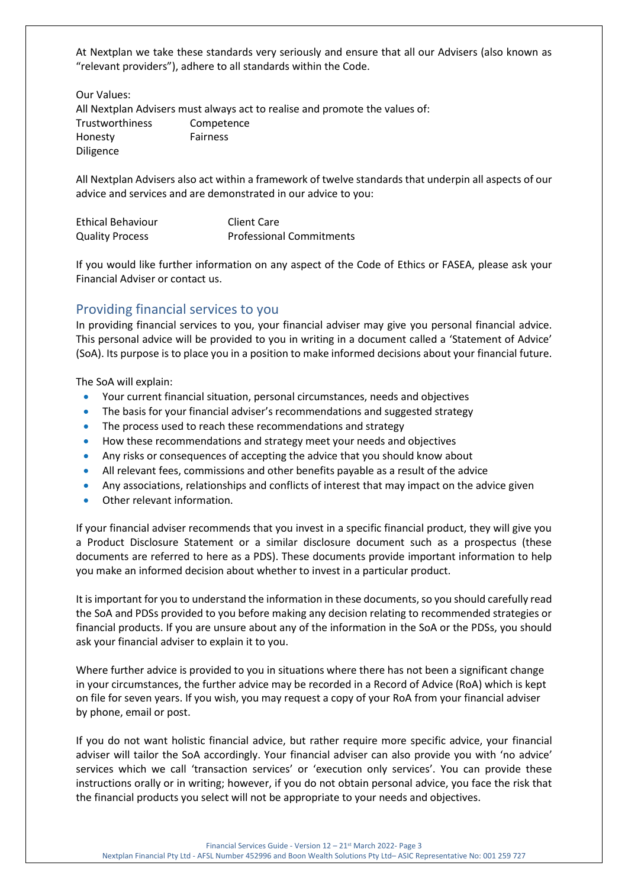At Nextplan we take these standards very seriously and ensure that all our Advisers (also known as "relevant providers"), adhere to all standards within the Code.

Our Values:

All Nextplan Advisers must always act to realise and promote the values of: Trustworthiness Competence Honesty Fairness Diligence

All Nextplan Advisers also act within a framework of twelve standards that underpin all aspects of our advice and services and are demonstrated in our advice to you:

| <b>Ethical Behaviour</b> | Client Care                     |
|--------------------------|---------------------------------|
| <b>Quality Process</b>   | <b>Professional Commitments</b> |

If you would like further information on any aspect of the Code of Ethics or FASEA, please ask your Financial Adviser or contact us.

# Providing financial services to you

In providing financial services to you, your financial adviser may give you personal financial advice. This personal advice will be provided to you in writing in a document called a 'Statement of Advice' (SoA). Its purpose is to place you in a position to make informed decisions about your financial future.

The SoA will explain:

- Your current financial situation, personal circumstances, needs and objectives
- The basis for your financial adviser's recommendations and suggested strategy
- The process used to reach these recommendations and strategy
- How these recommendations and strategy meet your needs and objectives
- Any risks or consequences of accepting the advice that you should know about
- All relevant fees, commissions and other benefits payable as a result of the advice
- Any associations, relationships and conflicts of interest that may impact on the advice given
- Other relevant information.

If your financial adviser recommends that you invest in a specific financial product, they will give you a Product Disclosure Statement or a similar disclosure document such as a prospectus (these documents are referred to here as a PDS). These documents provide important information to help you make an informed decision about whether to invest in a particular product.

It is important for you to understand the information in these documents, so you should carefully read the SoA and PDSs provided to you before making any decision relating to recommended strategies or financial products. If you are unsure about any of the information in the SoA or the PDSs, you should ask your financial adviser to explain it to you.

Where further advice is provided to you in situations where there has not been a significant change in your circumstances, the further advice may be recorded in a Record of Advice (RoA) which is kept on file for seven years. If you wish, you may request a copy of your RoA from your financial adviser by phone, email or post.

If you do not want holistic financial advice, but rather require more specific advice, your financial adviser will tailor the SoA accordingly. Your financial adviser can also provide you with 'no advice' services which we call 'transaction services' or 'execution only services'. You can provide these instructions orally or in writing; however, if you do not obtain personal advice, you face the risk that the financial products you select will not be appropriate to your needs and objectives.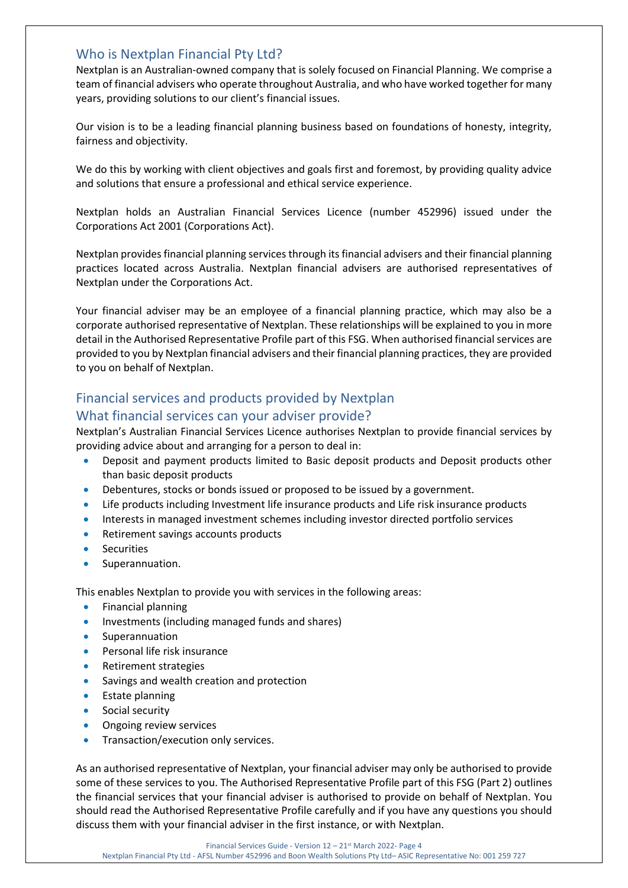## Who is Nextplan Financial Pty Ltd?

Nextplan is an Australian-owned company that is solely focused on Financial Planning. We comprise a team of financial advisers who operate throughout Australia, and who have worked together for many years, providing solutions to our client's financial issues.

Our vision is to be a leading financial planning business based on foundations of honesty, integrity, fairness and objectivity.

We do this by working with client objectives and goals first and foremost, by providing quality advice and solutions that ensure a professional and ethical service experience.

Nextplan holds an Australian Financial Services Licence (number 452996) issued under the Corporations Act 2001 (Corporations Act).

Nextplan provides financial planning services through its financial advisers and their financial planning practices located across Australia. Nextplan financial advisers are authorised representatives of Nextplan under the Corporations Act.

Your financial adviser may be an employee of a financial planning practice, which may also be a corporate authorised representative of Nextplan. These relationships will be explained to you in more detail in the Authorised Representative Profile part of this FSG. When authorised financial services are provided to you by Nextplan financial advisers and their financial planning practices, they are provided to you on behalf of Nextplan.

# Financial services and products provided by Nextplan

## What financial services can your adviser provide?

Nextplan's Australian Financial Services Licence authorises Nextplan to provide financial services by providing advice about and arranging for a person to deal in:

- Deposit and payment products limited to Basic deposit products and Deposit products other than basic deposit products
- Debentures, stocks or bonds issued or proposed to be issued by a government.
- Life products including Investment life insurance products and Life risk insurance products
- Interests in managed investment schemes including investor directed portfolio services
- Retirement savings accounts products
- **Securities**
- Superannuation.

This enables Nextplan to provide you with services in the following areas:

- Financial planning
- Investments (including managed funds and shares)
- **Superannuation**
- Personal life risk insurance
- Retirement strategies
- Savings and wealth creation and protection
- Estate planning
- Social security
- Ongoing review services
- Transaction/execution only services.

As an authorised representative of Nextplan, your financial adviser may only be authorised to provide some of these services to you. The Authorised Representative Profile part of this FSG (Part 2) outlines the financial services that your financial adviser is authorised to provide on behalf of Nextplan. You should read the Authorised Representative Profile carefully and if you have any questions you should discuss them with your financial adviser in the first instance, or with Nextplan.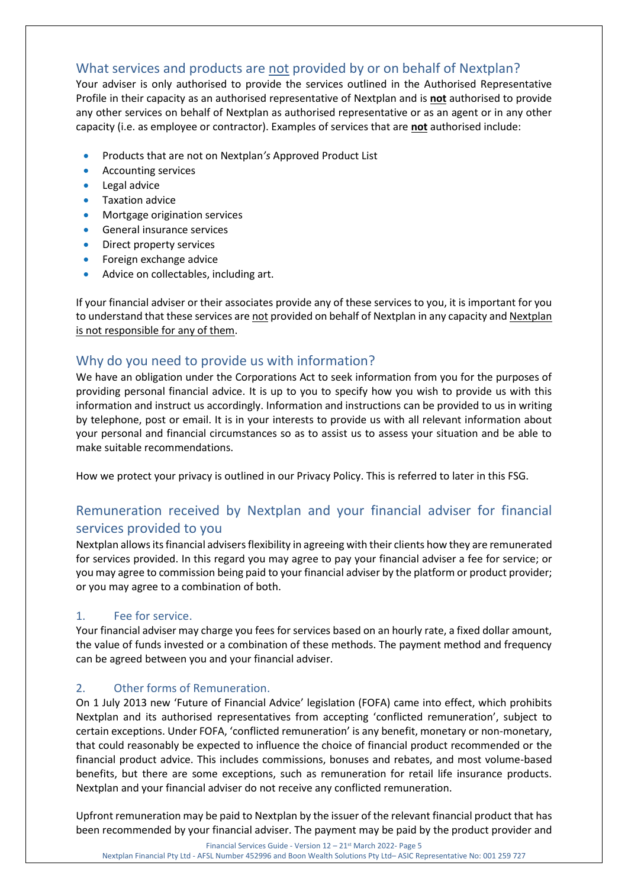# What services and products are not provided by or on behalf of Nextplan?

Your adviser is only authorised to provide the services outlined in the Authorised Representative Profile in their capacity as an authorised representative of Nextplan and is **not** authorised to provide any other services on behalf of Nextplan as authorised representative or as an agent or in any other capacity (i.e. as employee or contractor). Examples of services that are **not** authorised include:

- Products that are not on Nextplan*'s* Approved Product List
- Accounting services
- Legal advice
- Taxation advice
- Mortgage origination services
- General insurance services
- Direct property services
- Foreign exchange advice
- Advice on collectables, including art.

If your financial adviser or their associates provide any of these services to you, it is important for you to understand that these services are not provided on behalf of Nextplan in any capacity and Nextplan is not responsible for any of them.

# Why do you need to provide us with information?

We have an obligation under the Corporations Act to seek information from you for the purposes of providing personal financial advice. It is up to you to specify how you wish to provide us with this information and instruct us accordingly. Information and instructions can be provided to us in writing by telephone, post or email. It is in your interests to provide us with all relevant information about your personal and financial circumstances so as to assist us to assess your situation and be able to make suitable recommendations.

How we protect your privacy is outlined in our Privacy Policy. This is referred to later in this FSG.

# Remuneration received by Nextplan and your financial adviser for financial services provided to you

Nextplan allows its financial advisers flexibility in agreeing with their clients how they are remunerated for services provided. In this regard you may agree to pay your financial adviser a fee for service; or you may agree to commission being paid to your financial adviser by the platform or product provider; or you may agree to a combination of both.

## 1. Fee for service.

Your financial adviser may charge you fees for services based on an hourly rate, a fixed dollar amount, the value of funds invested or a combination of these methods. The payment method and frequency can be agreed between you and your financial adviser.

## 2. Other forms of Remuneration.

On 1 July 2013 new 'Future of Financial Advice' legislation (FOFA) came into effect, which prohibits Nextplan and its authorised representatives from accepting 'conflicted remuneration', subject to certain exceptions. Under FOFA, 'conflicted remuneration' is any benefit, monetary or non-monetary, that could reasonably be expected to influence the choice of financial product recommended or the financial product advice. This includes commissions, bonuses and rebates, and most volume-based benefits, but there are some exceptions, such as remuneration for retail life insurance products. Nextplan and your financial adviser do not receive any conflicted remuneration.

Upfront remuneration may be paid to Nextplan by the issuer of the relevant financial product that has been recommended by your financial adviser. The payment may be paid by the product provider and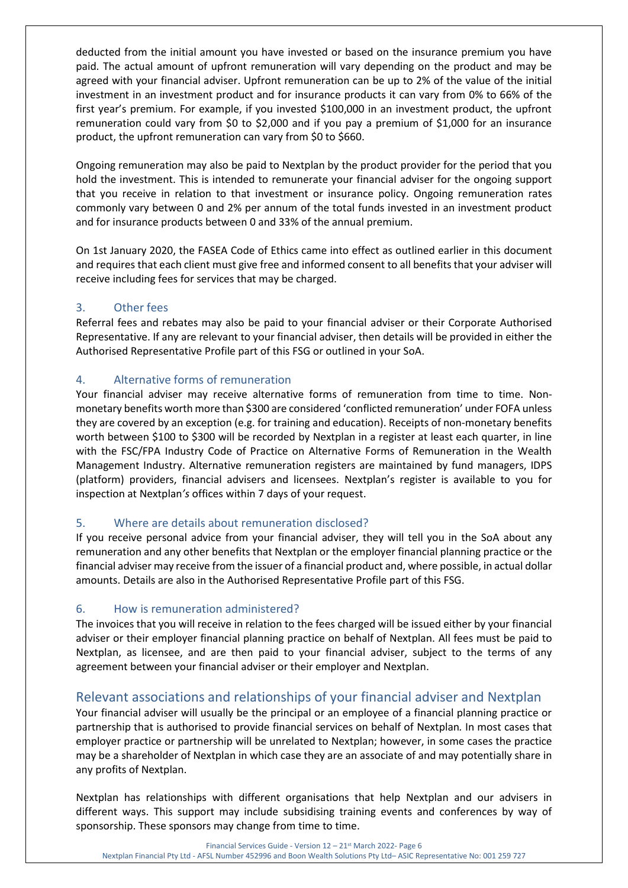deducted from the initial amount you have invested or based on the insurance premium you have paid. The actual amount of upfront remuneration will vary depending on the product and may be agreed with your financial adviser. Upfront remuneration can be up to 2% of the value of the initial investment in an investment product and for insurance products it can vary from 0% to 66% of the first year's premium. For example, if you invested \$100,000 in an investment product, the upfront remuneration could vary from \$0 to \$2,000 and if you pay a premium of \$1,000 for an insurance product, the upfront remuneration can vary from \$0 to \$660.

Ongoing remuneration may also be paid to Nextplan by the product provider for the period that you hold the investment. This is intended to remunerate your financial adviser for the ongoing support that you receive in relation to that investment or insurance policy. Ongoing remuneration rates commonly vary between 0 and 2% per annum of the total funds invested in an investment product and for insurance products between 0 and 33% of the annual premium.

On 1st January 2020, the FASEA Code of Ethics came into effect as outlined earlier in this document and requires that each client must give free and informed consent to all benefits that your adviser will receive including fees for services that may be charged.

## 3. Other fees

Referral fees and rebates may also be paid to your financial adviser or their Corporate Authorised Representative. If any are relevant to your financial adviser, then details will be provided in either the Authorised Representative Profile part of this FSG or outlined in your SoA.

#### 4. Alternative forms of remuneration

Your financial adviser may receive alternative forms of remuneration from time to time. Nonmonetary benefits worth more than \$300 are considered 'conflicted remuneration' under FOFA unless they are covered by an exception (e.g. for training and education). Receipts of non-monetary benefits worth between \$100 to \$300 will be recorded by Nextplan in a register at least each quarter, in line with the FSC/FPA Industry Code of Practice on Alternative Forms of Remuneration in the Wealth Management Industry. Alternative remuneration registers are maintained by fund managers, IDPS (platform) providers, financial advisers and licensees. Nextplan's register is available to you for inspection at Nextplan*'s* offices within 7 days of your request.

#### 5. Where are details about remuneration disclosed?

If you receive personal advice from your financial adviser, they will tell you in the SoA about any remuneration and any other benefits that Nextplan or the employer financial planning practice or the financial adviser may receive from the issuer of a financial product and, where possible, in actual dollar amounts. Details are also in the Authorised Representative Profile part of this FSG.

#### 6. How is remuneration administered?

The invoices that you will receive in relation to the fees charged will be issued either by your financial adviser or their employer financial planning practice on behalf of Nextplan. All fees must be paid to Nextplan, as licensee, and are then paid to your financial adviser, subject to the terms of any agreement between your financial adviser or their employer and Nextplan.

# Relevant associations and relationships of your financial adviser and Nextplan

Your financial adviser will usually be the principal or an employee of a financial planning practice or partnership that is authorised to provide financial services on behalf of Nextplan*.* In most cases that employer practice or partnership will be unrelated to Nextplan; however, in some cases the practice may be a shareholder of Nextplan in which case they are an associate of and may potentially share in any profits of Nextplan.

Nextplan has relationships with different organisations that help Nextplan and our advisers in different ways. This support may include subsidising training events and conferences by way of sponsorship. These sponsors may change from time to time.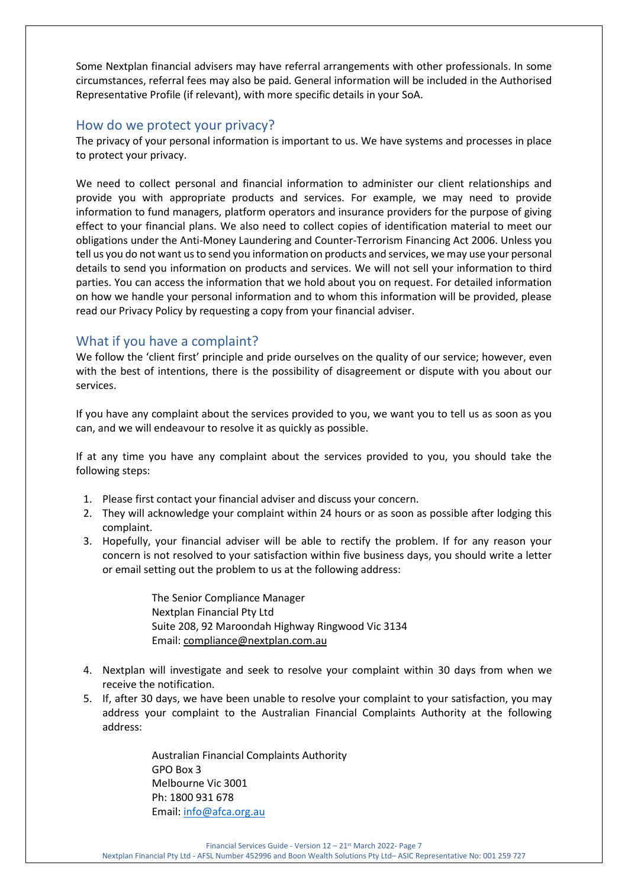Some Nextplan financial advisers may have referral arrangements with other professionals. In some circumstances, referral fees may also be paid. General information will be included in the Authorised Representative Profile (if relevant), with more specific details in your SoA.

# How do we protect your privacy?

The privacy of your personal information is important to us. We have systems and processes in place to protect your privacy.

We need to collect personal and financial information to administer our client relationships and provide you with appropriate products and services. For example, we may need to provide information to fund managers, platform operators and insurance providers for the purpose of giving effect to your financial plans. We also need to collect copies of identification material to meet our obligations under the Anti-Money Laundering and Counter-Terrorism Financing Act 2006. Unless you tell us you do not want us to send you information on products and services, we may use your personal details to send you information on products and services. We will not sell your information to third parties. You can access the information that we hold about you on request. For detailed information on how we handle your personal information and to whom this information will be provided, please read our Privacy Policy by requesting a copy from your financial adviser.

# What if you have a complaint?

We follow the 'client first' principle and pride ourselves on the quality of our service; however, even with the best of intentions, there is the possibility of disagreement or dispute with you about our services.

If you have any complaint about the services provided to you, we want you to tell us as soon as you can, and we will endeavour to resolve it as quickly as possible.

If at any time you have any complaint about the services provided to you, you should take the following steps:

- 1. Please first contact your financial adviser and discuss your concern.
- 2. They will acknowledge your complaint within 24 hours or as soon as possible after lodging this complaint.
- 3. Hopefully, your financial adviser will be able to rectify the problem. If for any reason your concern is not resolved to your satisfaction within five business days, you should write a letter or email setting out the problem to us at the following address:

The Senior Compliance Manager Nextplan Financial Pty Ltd Suite 208, 92 Maroondah Highway Ringwood Vic 3134 Email: [compliance@nextplan.com.au](mailto:compliance@nextplan.com.au)

- 4. Nextplan will investigate and seek to resolve your complaint within 30 days from when we receive the notification.
- 5. If, after 30 days, we have been unable to resolve your complaint to your satisfaction, you may address your complaint to the Australian Financial Complaints Authority at the following address:

Australian Financial Complaints Authority GPO Box 3 Melbourne Vic 3001 Ph: 1800 931 678 Email: [info@afca.org.au](mailto:info@afca.org.au)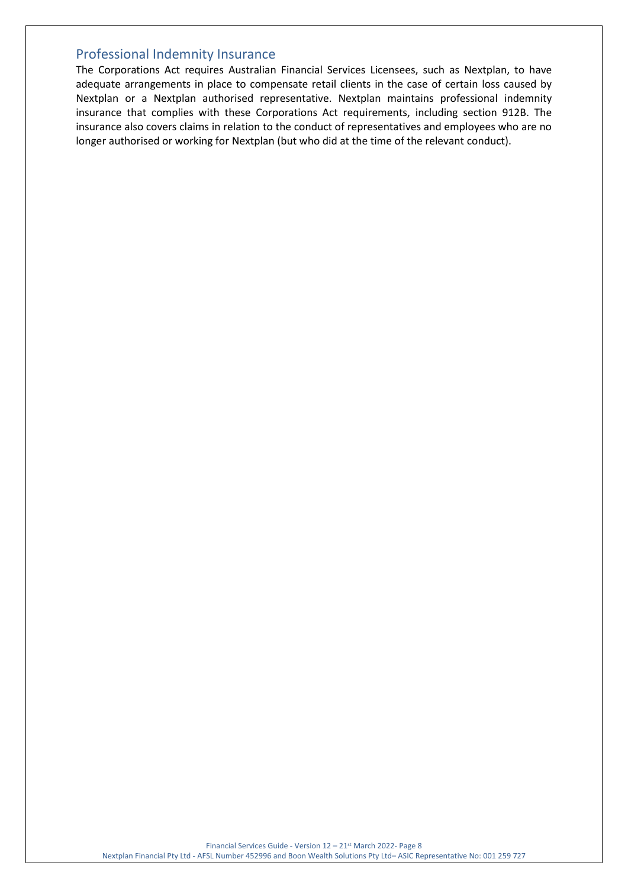# Professional Indemnity Insurance

The Corporations Act requires Australian Financial Services Licensees, such as Nextplan, to have adequate arrangements in place to compensate retail clients in the case of certain loss caused by Nextplan or a Nextplan authorised representative. Nextplan maintains professional indemnity insurance that complies with these Corporations Act requirements, including section 912B. The insurance also covers claims in relation to the conduct of representatives and employees who are no longer authorised or working for Nextplan (but who did at the time of the relevant conduct).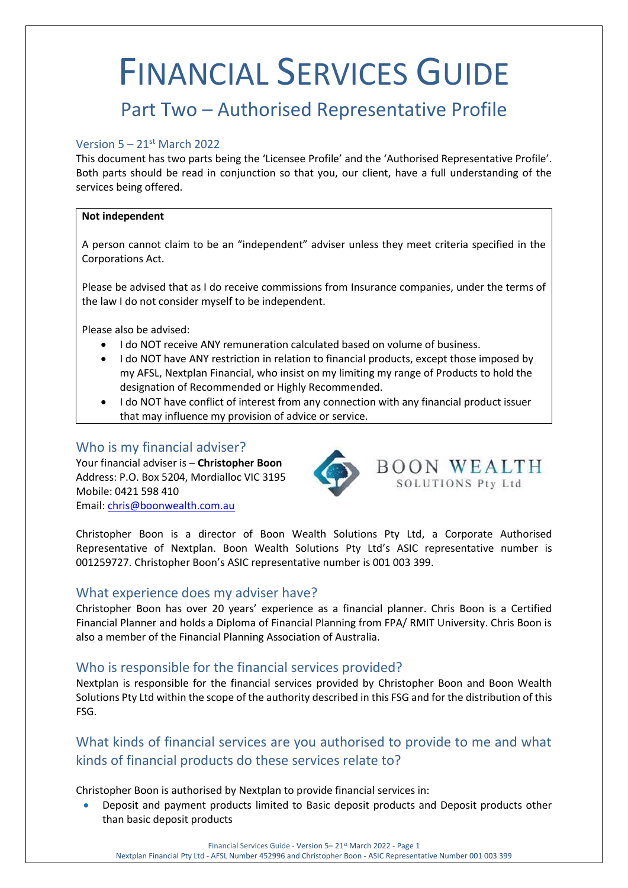# FINANCIAL SERVICES GUIDE

# Part Two – Authorised Representative Profile

#### Version  $5 - 21$ <sup>st</sup> March 2022

This document has two parts being the 'Licensee Profile' and the 'Authorised Representative Profile'. Both parts should be read in conjunction so that you, our client, have a full understanding of the services being offered.

#### **Not independent**

A person cannot claim to be an "independent" adviser unless they meet criteria specified in the Corporations Act.

Please be advised that as I do receive commissions from Insurance companies, under the terms of the law I do not consider myself to be independent.

Please also be advised:

- I do NOT receive ANY remuneration calculated based on volume of business.
- I do NOT have ANY restriction in relation to financial products, except those imposed by my AFSL, Nextplan Financial, who insist on my limiting my range of Products to hold the designation of Recommended or Highly Recommended.
- I do NOT have conflict of interest from any connection with any financial product issuer that may influence my provision of advice or service.

# Who is my financial adviser?

Your financial adviser is – **Christopher Boon** Address: P.O. Box 5204, Mordialloc VIC 3195 Mobile: 0421 598 410 Email: [chris@boonwealth.com.au](mailto:chris@boonwealth.com.au)



Christopher Boon is a director of Boon Wealth Solutions Pty Ltd, a Corporate Authorised Representative of Nextplan. Boon Wealth Solutions Pty Ltd's ASIC representative number is 001259727. Christopher Boon's ASIC representative number is 001 003 399.

#### What experience does my adviser have?

Christopher Boon has over 20 years' experience as a financial planner. Chris Boon is a Certified Financial Planner and holds a Diploma of Financial Planning from FPA/ RMIT University. Chris Boon is also a member of the Financial Planning Association of Australia.

## Who is responsible for the financial services provided?

Nextplan is responsible for the financial services provided by Christopher Boon and Boon Wealth Solutions Pty Ltd within the scope of the authority described in this FSG and for the distribution of this FSG.

# What kinds of financial services are you authorised to provide to me and what kinds of financial products do these services relate to?

Christopher Boon is authorised by Nextplan to provide financial services in:

• Deposit and payment products limited to Basic deposit products and Deposit products other than basic deposit products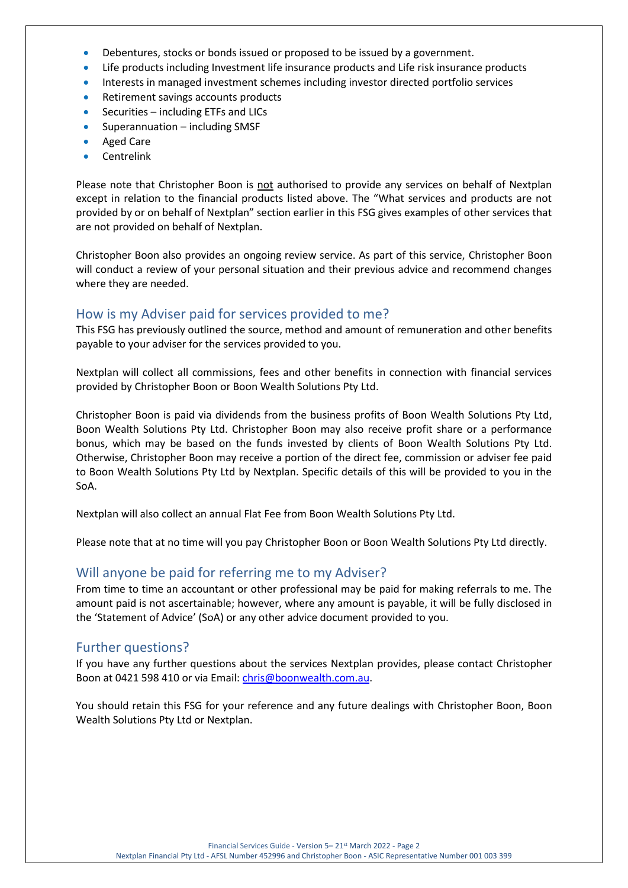- Debentures, stocks or bonds issued or proposed to be issued by a government.
- Life products including Investment life insurance products and Life risk insurance products
- Interests in managed investment schemes including investor directed portfolio services
- Retirement savings accounts products
- Securities including ETFs and LICs
- Superannuation including SMSF
- Aged Care
- **Centrelink**

Please note that Christopher Boon is not authorised to provide any services on behalf of Nextplan except in relation to the financial products listed above. The "What services and products are not provided by or on behalf of Nextplan" section earlier in this FSG gives examples of other services that are not provided on behalf of Nextplan.

Christopher Boon also provides an ongoing review service. As part of this service, Christopher Boon will conduct a review of your personal situation and their previous advice and recommend changes where they are needed.

# How is my Adviser paid for services provided to me?

This FSG has previously outlined the source, method and amount of remuneration and other benefits payable to your adviser for the services provided to you.

Nextplan will collect all commissions, fees and other benefits in connection with financial services provided by Christopher Boon or Boon Wealth Solutions Pty Ltd.

Christopher Boon is paid via dividends from the business profits of Boon Wealth Solutions Pty Ltd, Boon Wealth Solutions Pty Ltd. Christopher Boon may also receive profit share or a performance bonus, which may be based on the funds invested by clients of Boon Wealth Solutions Pty Ltd. Otherwise, Christopher Boon may receive a portion of the direct fee, commission or adviser fee paid to Boon Wealth Solutions Pty Ltd by Nextplan. Specific details of this will be provided to you in the SoA.

Nextplan will also collect an annual Flat Fee from Boon Wealth Solutions Pty Ltd.

Please note that at no time will you pay Christopher Boon or Boon Wealth Solutions Pty Ltd directly.

## Will anyone be paid for referring me to my Adviser?

From time to time an accountant or other professional may be paid for making referrals to me. The amount paid is not ascertainable; however, where any amount is payable, it will be fully disclosed in the 'Statement of Advice' (SoA) or any other advice document provided to you.

#### Further questions?

If you have any further questions about the services Nextplan provides, please contact Christopher Boon at 0421 598 410 or via Email: [chris@boonwealth.com.au.](mailto:chris@boonwealth.com.au)

You should retain this FSG for your reference and any future dealings with Christopher Boon, Boon Wealth Solutions Pty Ltd or Nextplan.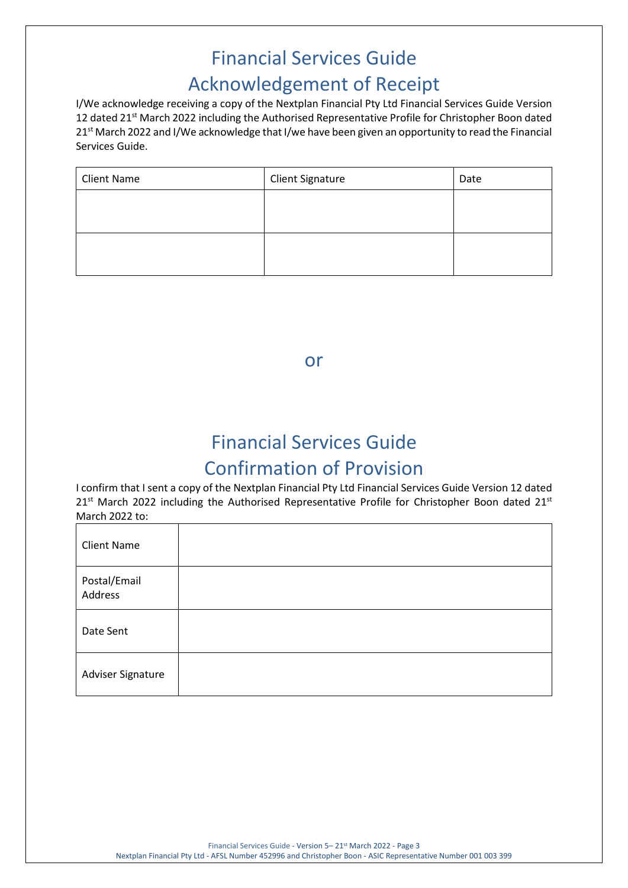# Financial Services Guide Acknowledgement of Receipt

I/We acknowledge receiving a copy of the Nextplan Financial Pty Ltd Financial Services Guide Version 12 dated 21<sup>st</sup> March 2022 including the Authorised Representative Profile for Christopher Boon dated 21st March 2022 and I/We acknowledge that I/we have been given an opportunity to read the Financial Services Guide.

| <b>Client Name</b> | <b>Client Signature</b> | Date |
|--------------------|-------------------------|------|
|                    |                         |      |
|                    |                         |      |
|                    |                         |      |
|                    |                         |      |

or

# Financial Services Guide Confirmation of Provision

I confirm that I sent a copy of the Nextplan Financial Pty Ltd Financial Services Guide Version 12 dated  $21<sup>st</sup>$  March 2022 including the Authorised Representative Profile for Christopher Boon dated 21 $st$ March 2022 to:

| <b>Client Name</b>      |  |
|-------------------------|--|
| Postal/Email<br>Address |  |
| Date Sent               |  |
| Adviser Signature       |  |